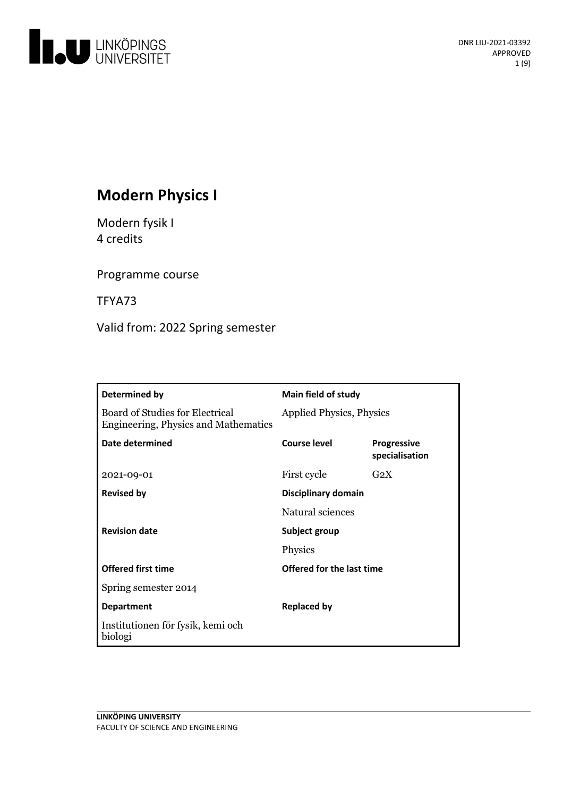

# **Modern Physics I**

Modern fysik I 4 credits

Programme course

TFYA73

Valid from: 2022 Spring semester

| Determined by                                                                  | <b>Main field of study</b>      |                                      |
|--------------------------------------------------------------------------------|---------------------------------|--------------------------------------|
| Board of Studies for Electrical<br><b>Engineering, Physics and Mathematics</b> | <b>Applied Physics, Physics</b> |                                      |
| Date determined                                                                | Course level                    | <b>Progressive</b><br>specialisation |
| 2021-09-01                                                                     | First cycle                     | $G_2X$                               |
| <b>Revised by</b>                                                              | <b>Disciplinary domain</b>      |                                      |
|                                                                                | Natural sciences                |                                      |
| <b>Revision date</b>                                                           | Subject group                   |                                      |
|                                                                                | Physics                         |                                      |
| <b>Offered first time</b>                                                      | Offered for the last time       |                                      |
| Spring semester 2014                                                           |                                 |                                      |
| <b>Department</b>                                                              | <b>Replaced by</b>              |                                      |
| Institutionen för fysik, kemi och<br>biologi                                   |                                 |                                      |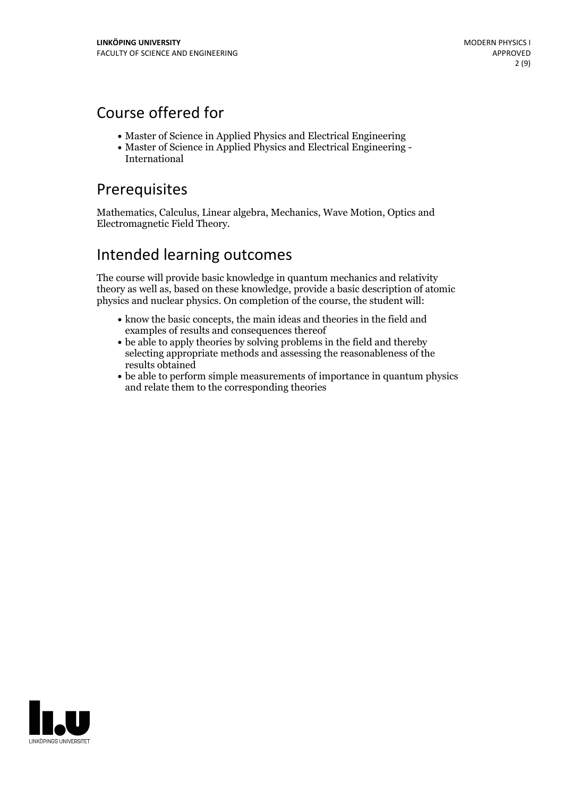## Course offered for

- Master of Science in Applied Physics and Electrical Engineering
- Master of Science in Applied Physics and Electrical Engineering International

## Prerequisites

Mathematics, Calculus, Linear algebra, Mechanics, Wave Motion, Optics and Electromagnetic Field Theory.

## Intended learning outcomes

The course will provide basic knowledge in quantum mechanics and relativity theory as well as, based on these knowledge, provide a basic description of atomic physics and nuclear physics. On completion of the course, the student will:

- know the basic concepts, the main ideas and theories in the field and examples of results and consequences thereof
- be able to apply theories by solving problems in the field and thereby selecting appropriate methods and assessing the reasonableness of the results obtained
- be able to perform simple measurements of importance in quantum physics and relate them to the corresponding theories

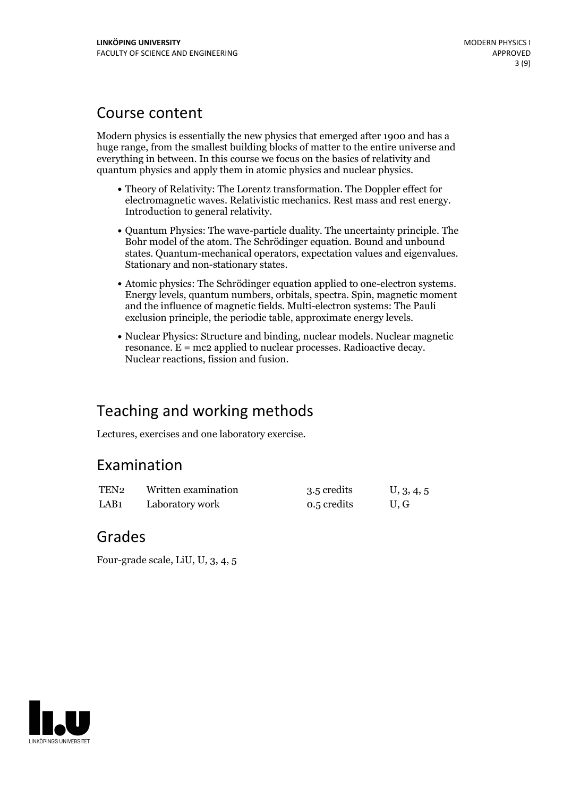## Course content

Modern physics is essentially the new physics that emerged after 1900 and has a huge range, from the smallest building blocks of matter to the entire universe and everything in between. In this course we focus on the basics of relativity and quantum physics and apply them in atomic physics and nuclear physics.

- Theory of Relativity: The Lorentz transformation. The Doppler effect for electromagnetic waves. Relativistic mechanics. Rest mass and rest energy. Introduction to general relativity.
- Quantum Physics: The wave-particle duality. The uncertainty principle. The Bohr model of the atom. The Schrödinger equation. Bound and unbound states. Quantum-mechanical operators, expectation values and eigenvalues. Stationary and non-stationary states.
- Atomic physics: The Schrödinger equation applied to one-electron systems. Energy levels, quantum numbers,orbitals, spectra. Spin, magnetic moment and the influence of magnetic fields. Multi-electron systems: The Pauli exclusion principle, the periodic table, approximate energy levels.
- Nuclear Physics: Structure and binding, nuclear models. Nuclear magnetic resonance. <sup>E</sup> <sup>=</sup> mc2 applied to nuclear processes. Radioactive decay. Nuclear reactions, fission and fusion.

# Teaching and working methods

Lectures, exercises and one laboratory exercise.

## Examination

| TEN <sub>2</sub> | Written examination | 3.5 credits | U, 3, 4, 5 |
|------------------|---------------------|-------------|------------|
| LAB <sub>1</sub> | Laboratory work     | 0.5 credits | U.G        |

## Grades

Four-grade scale, LiU, U, 3, 4, 5

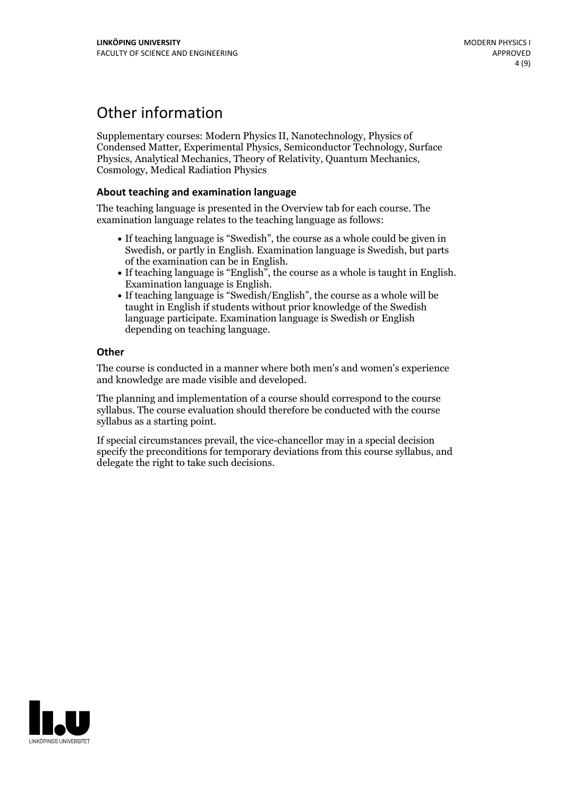# Other information

Supplementary courses: Modern Physics II, Nanotechnology, Physics of Condensed Matter, Experimental Physics, Semiconductor Technology, Surface Physics, Analytical Mechanics, Theory of Relativity, Quantum Mechanics, Cosmology, Medical Radiation Physics

### **About teaching and examination language**

The teaching language is presented in the Overview tab for each course. The examination language relates to the teaching language as follows:

- If teaching language is "Swedish", the course as a whole could be given in Swedish, or partly in English. Examination language is Swedish, but parts
- If teaching language is "English", the course as a whole is taught in English.<br>Examination language is English.<br>If teaching language is "Swedish/English", the course as a whole will be
- taught in English if students without prior knowledge of the Swedish language participate. Examination language is Swedish or English depending on teaching language.

### **Other**

The course is conducted in a manner where both men's and women's experience and knowledge are made visible and developed.

The planning and implementation of a course should correspond to the course syllabus. The course evaluation should therefore be conducted with the course syllabus as a starting point.

If special circumstances prevail, the vice-chancellor may in a special decision specify the preconditions for temporary deviations from this course syllabus, and delegate the right to take such decisions.

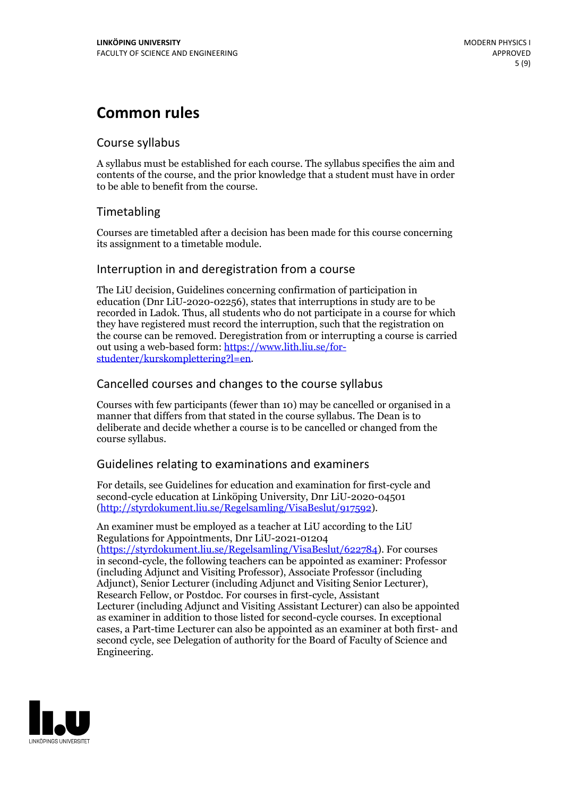# **Common rules**

## Course syllabus

A syllabus must be established for each course. The syllabus specifies the aim and contents of the course, and the prior knowledge that a student must have in order to be able to benefit from the course.

## Timetabling

Courses are timetabled after a decision has been made for this course concerning its assignment to a timetable module.

## Interruption in and deregistration from a course

The LiU decision, Guidelines concerning confirmation of participation in education (Dnr LiU-2020-02256), states that interruptions in study are to be recorded in Ladok. Thus, all students who do not participate in a course for which they have registered must record the interruption, such that the registration on the course can be removed. Deregistration from or interrupting a course is carried out using <sup>a</sup> web-based form: https://www.lith.liu.se/for- [studenter/kurskomplettering?l=en.](https://www.lith.liu.se/for-studenter/kurskomplettering?l=en)

## Cancelled courses and changes to the course syllabus

Courses with few participants (fewer than 10) may be cancelled or organised in a manner that differs from that stated in the course syllabus. The Dean is to deliberate and decide whether a course is to be cancelled or changed from the course syllabus.

## Guidelines relating to examinations and examiners

For details, see Guidelines for education and examination for first-cycle and second-cycle education at Linköping University, Dnr LiU-2020-04501 [\(http://styrdokument.liu.se/Regelsamling/VisaBeslut/917592\)](http://styrdokument.liu.se/Regelsamling/VisaBeslut/917592).

An examiner must be employed as a teacher at LiU according to the LiU Regulations for Appointments, Dnr LiU-2021-01204 [\(https://styrdokument.liu.se/Regelsamling/VisaBeslut/622784](https://styrdokument.liu.se/Regelsamling/VisaBeslut/622784)). For courses in second-cycle, the following teachers can be appointed as examiner: Professor (including Adjunct and Visiting Professor), Associate Professor (including Adjunct), Senior Lecturer (including Adjunct and Visiting Senior Lecturer), Research Fellow, or Postdoc. For courses in first-cycle, Assistant Lecturer (including Adjunct and Visiting Assistant Lecturer) can also be appointed as examiner in addition to those listed for second-cycle courses. In exceptional cases, a Part-time Lecturer can also be appointed as an examiner at both first- and second cycle, see Delegation of authority for the Board of Faculty of Science and Engineering.

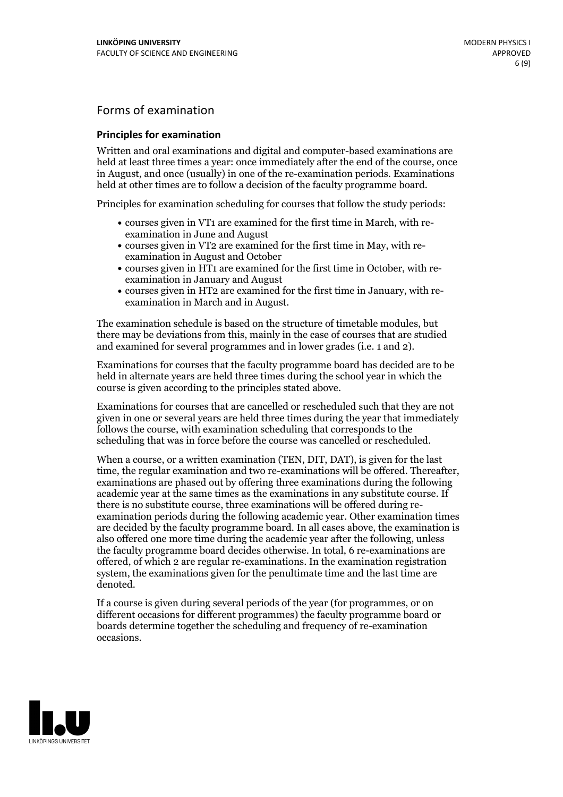## Forms of examination

#### **Principles for examination**

Written and oral examinations and digital and computer-based examinations are held at least three times a year: once immediately after the end of the course, once in August, and once (usually) in one of the re-examination periods. Examinations held at other times are to follow a decision of the faculty programme board.

Principles for examination scheduling for courses that follow the study periods:

- courses given in VT1 are examined for the first time in March, with re-examination in June and August
- courses given in VT2 are examined for the first time in May, with re-examination in August and October
- courses given in HT1 are examined for the first time in October, with re-examination in January and August
- courses given in HT2 are examined for the first time in January, with re-examination in March and in August.

The examination schedule is based on the structure of timetable modules, but there may be deviations from this, mainly in the case of courses that are studied and examined for several programmes and in lower grades (i.e. 1 and 2).

Examinations for courses that the faculty programme board has decided are to be held in alternate years are held three times during the school year in which the course is given according to the principles stated above.

Examinations for courses that are cancelled orrescheduled such that they are not given in one or several years are held three times during the year that immediately follows the course, with examination scheduling that corresponds to the scheduling that was in force before the course was cancelled or rescheduled.

When a course, or a written examination (TEN, DIT, DAT), is given for the last time, the regular examination and two re-examinations will be offered. Thereafter, examinations are phased out by offering three examinations during the following academic year at the same times as the examinations in any substitute course. If there is no substitute course, three examinations will be offered during re- examination periods during the following academic year. Other examination times are decided by the faculty programme board. In all cases above, the examination is also offered one more time during the academic year after the following, unless the faculty programme board decides otherwise. In total, 6 re-examinations are offered, of which 2 are regular re-examinations. In the examination registration system, the examinations given for the penultimate time and the last time are denoted.

If a course is given during several periods of the year (for programmes, or on different occasions for different programmes) the faculty programme board or boards determine together the scheduling and frequency of re-examination occasions.

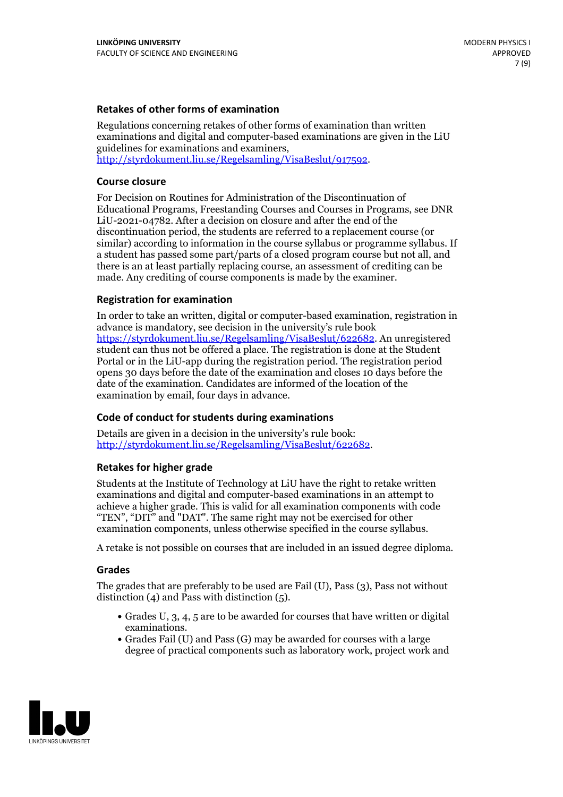### **Retakes of other forms of examination**

Regulations concerning retakes of other forms of examination than written examinations and digital and computer-based examinations are given in the LiU guidelines for examinations and examiners, [http://styrdokument.liu.se/Regelsamling/VisaBeslut/917592.](http://styrdokument.liu.se/Regelsamling/VisaBeslut/917592)

#### **Course closure**

For Decision on Routines for Administration of the Discontinuation of Educational Programs, Freestanding Courses and Courses in Programs, see DNR LiU-2021-04782. After a decision on closure and after the end of the discontinuation period, the students are referred to a replacement course (or similar) according to information in the course syllabus or programme syllabus. If a student has passed some part/parts of a closed program course but not all, and there is an at least partially replacing course, an assessment of crediting can be made. Any crediting of course components is made by the examiner.

### **Registration for examination**

In order to take an written, digital or computer-based examination, registration in advance is mandatory, see decision in the university's rule book [https://styrdokument.liu.se/Regelsamling/VisaBeslut/622682.](https://styrdokument.liu.se/Regelsamling/VisaBeslut/622682) An unregistered student can thus not be offered a place. The registration is done at the Student Portal or in the LiU-app during the registration period. The registration period opens 30 days before the date of the examination and closes 10 days before the date of the examination. Candidates are informed of the location of the examination by email, four days in advance.

### **Code of conduct for students during examinations**

Details are given in a decision in the university's rule book: <http://styrdokument.liu.se/Regelsamling/VisaBeslut/622682>.

#### **Retakes for higher grade**

Students at the Institute of Technology at LiU have the right to retake written examinations and digital and computer-based examinations in an attempt to achieve a higher grade. This is valid for all examination components with code "TEN", "DIT" and "DAT". The same right may not be exercised for other examination components, unless otherwise specified in the course syllabus.

A retake is not possible on courses that are included in an issued degree diploma.

#### **Grades**

The grades that are preferably to be used are Fail (U), Pass (3), Pass not without distinction  $(4)$  and Pass with distinction  $(5)$ .

- Grades U, 3, 4, 5 are to be awarded for courses that have written or digital examinations.<br>• Grades Fail (U) and Pass (G) may be awarded for courses with a large
- degree of practical components such as laboratory work, project work and

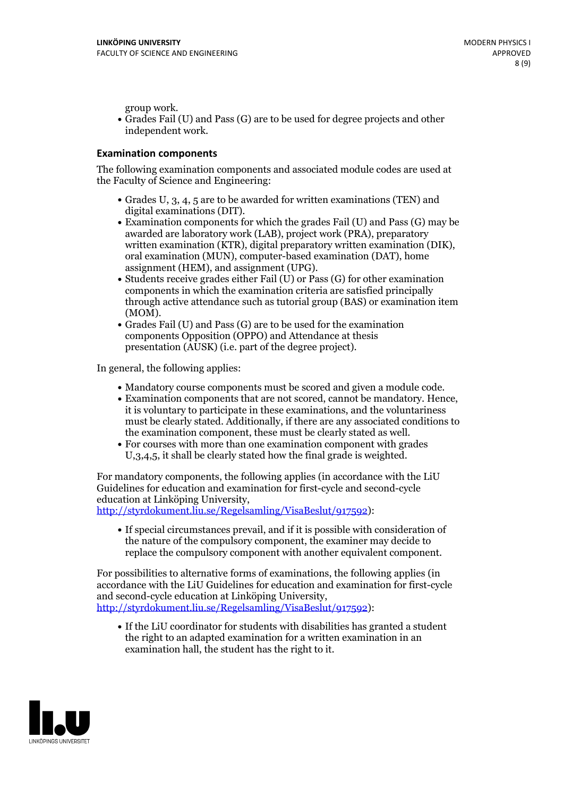group work.<br>• Grades Fail (U) and Pass (G) are to be used for degree projects and other independent work.

#### **Examination components**

The following examination components and associated module codes are used at the Faculty of Science and Engineering:

- Grades U, 3, 4, 5 are to be awarded for written examinations (TEN) and
- digital examinations (DIT).<br>• Examination components for which the grades Fail (U) and Pass (G) may be awarded are laboratory work (LAB), project work (PRA), preparatory written examination (KTR), digital preparatory written examination (DIK), oral examination (MUN), computer-based examination (DAT), home
- assignment (HEM), and assignment (UPG).<br>• Students receive grades either Fail (U) or Pass (G) for other examination components in which the examination criteria are satisfied principally through active attendance such as tutorial group (BAS) or examination item
- (MOM).<br>• Grades Fail (U) and Pass (G) are to be used for the examination components Opposition (OPPO) and Attendance at thesis presentation (AUSK) (i.e. part of the degree project).

In general, the following applies:

- 
- Mandatory course components must be scored and given <sup>a</sup> module code. Examination components that are not scored, cannot be mandatory. Hence, it is voluntary to participate in these examinations, and the voluntariness must be clearly stated. Additionally, if there are any associated conditions to
- the examination component, these must be clearly stated as well.<br>• For courses with more than one examination component with grades U,3,4,5, it shall be clearly stated how the final grade is weighted.

For mandatory components, the following applies (in accordance with the LiU Guidelines for education and examination for first-cycle and second-cycle education at Linköping University,<br>[http://styrdokument.liu.se/Regelsamling/VisaBeslut/917592\)](http://styrdokument.liu.se/Regelsamling/VisaBeslut/917592):

If special circumstances prevail, and if it is possible with consideration of the nature of the compulsory component, the examiner may decide to replace the compulsory component with another equivalent component.

For possibilities to alternative forms of examinations, the following applies (in accordance with the LiU Guidelines for education and examination for first-cycle [http://styrdokument.liu.se/Regelsamling/VisaBeslut/917592\)](http://styrdokument.liu.se/Regelsamling/VisaBeslut/917592):

If the LiU coordinator for students with disabilities has granted a student the right to an adapted examination for a written examination in an examination hall, the student has the right to it.